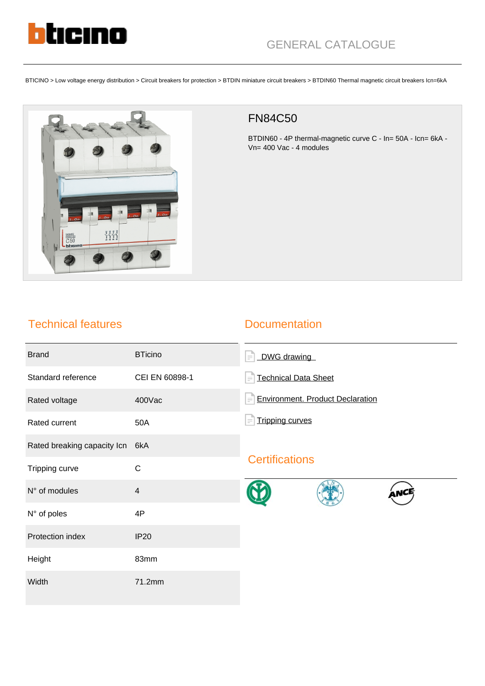

BTICINO > Low voltage energy distribution > Circuit breakers for protection > BTDIN miniature circuit breakers > BTDIN60 Thermal magnetic circuit breakers Icn=6kA



## FN84C50

BTDIN60 - 4P thermal-magnetic curve C - In= 50A - Icn= 6kA - Vn= 400 Vac - 4 modules

## Technical features

### **Documentation**

| <b>Brand</b>                | <b>BTicino</b> | DWG drawing<br>$=$                           |
|-----------------------------|----------------|----------------------------------------------|
| Standard reference          | CEI EN 60898-1 | <b>Technical Data Sheet</b><br>$=$           |
| Rated voltage               | 400Vac         | <b>Environment. Product Declaration</b><br>F |
| Rated current               | 50A            | <b>Tripping curves</b><br>Ξ                  |
| Rated breaking capacity Icn | 6kA            |                                              |
| Tripping curve              | C              | <b>Certifications</b>                        |
| N° of modules               | $\overline{4}$ |                                              |
| N° of poles                 | 4P             |                                              |
| Protection index            | <b>IP20</b>    |                                              |
| Height                      | 83mm           |                                              |
| Width                       | 71.2mm         |                                              |